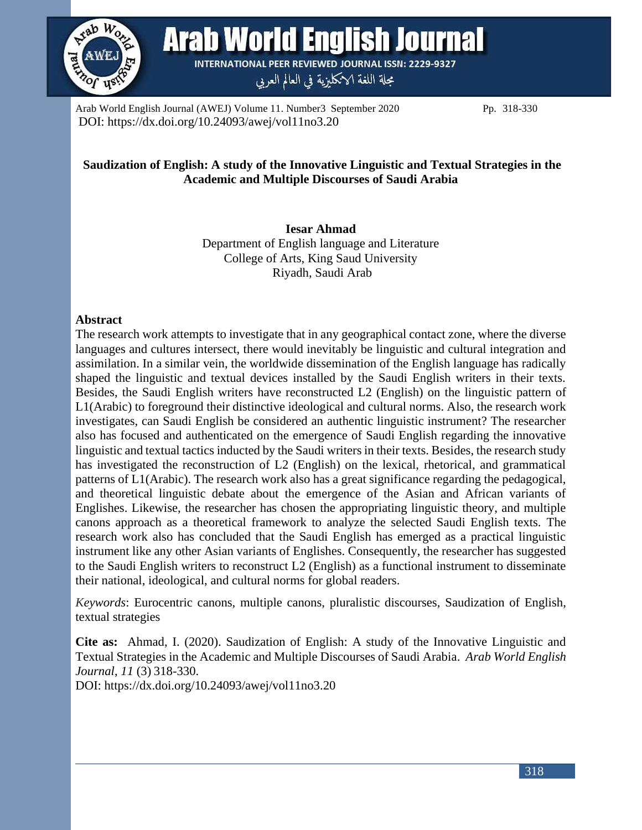

**Arab World English Journal** 

**INTERNATIONAL PEER REVIEWED JOURNAL ISSN: 2229-9327** مجلة اللغة الانكليزية في العالم العربي

Arab World English Journal (AWEJ) Volume 11. Number 3September 2020 Pp. 318-330 DOI: https://dx.doi.org/10.24093/awej/vol11no3.20

# **Saudization of English: A study of the Innovative Linguistic and Textual Strategies in the Academic and Multiple Discourses of Saudi Arabia**

**Iesar Ahmad** Department of English language and Literature College of Arts, King Saud University Riyadh, Saudi Arab

# **Abstract**

The research work attempts to investigate that in any geographical contact zone, where the diverse languages and cultures intersect, there would inevitably be linguistic and cultural integration and assimilation. In a similar vein, the worldwide dissemination of the English language has radically shaped the linguistic and textual devices installed by the Saudi English writers in their texts. Besides, the Saudi English writers have reconstructed L2 (English) on the linguistic pattern of L1(Arabic) to foreground their distinctive ideological and cultural norms. Also, the research work investigates, can Saudi English be considered an authentic linguistic instrument? The researcher also has focused and authenticated on the emergence of Saudi English regarding the innovative linguistic and textual tactics inducted by the Saudi writers in their texts. Besides, the research study has investigated the reconstruction of L2 (English) on the lexical, rhetorical, and grammatical patterns of L1(Arabic). The research work also has a great significance regarding the pedagogical, and theoretical linguistic debate about the emergence of the Asian and African variants of Englishes. Likewise, the researcher has chosen the appropriating linguistic theory, and multiple canons approach as a theoretical framework to analyze the selected Saudi English texts. The research work also has concluded that the Saudi English has emerged as a practical linguistic instrument like any other Asian variants of Englishes. Consequently, the researcher has suggested to the Saudi English writers to reconstruct L2 (English) as a functional instrument to disseminate their national, ideological, and cultural norms for global readers.

*Keywords*: Eurocentric canons, multiple canons, pluralistic discourses, Saudization of English, textual strategies

**Cite as:** Ahmad, I. (2020). Saudization of English: A study of the Innovative Linguistic and Textual Strategies in the Academic and Multiple Discourses of Saudi Arabia. *Arab World English Journal*, *11* (3) 318-330.

DOI: https://dx.doi.org/10.24093/awej/vol11no3.20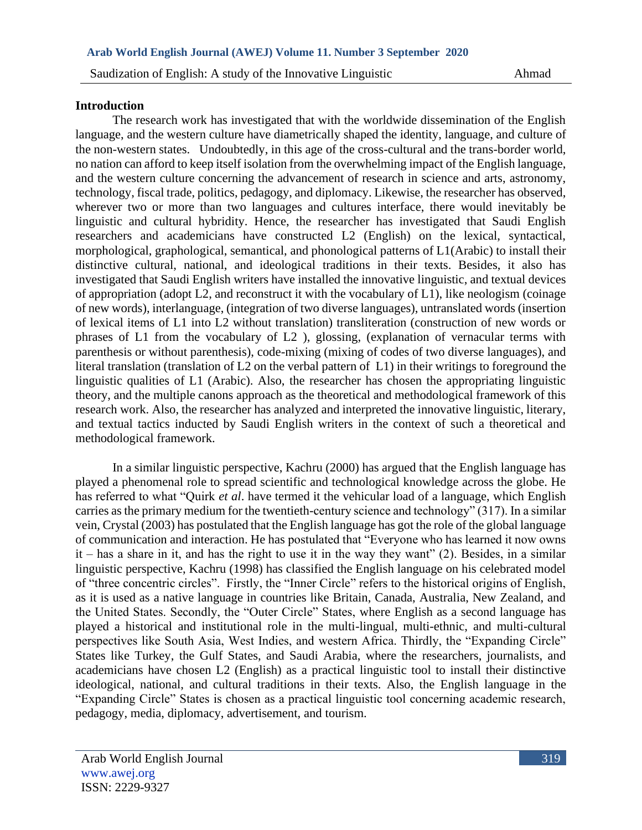#### **Introduction**

The research work has investigated that with the worldwide dissemination of the English language, and the western culture have diametrically shaped the identity, language, and culture of the non-western states. Undoubtedly, in this age of the cross-cultural and the trans-border world, no nation can afford to keep itself isolation from the overwhelming impact of the English language, and the western culture concerning the advancement of research in science and arts, astronomy, technology, fiscal trade, politics, pedagogy, and diplomacy. Likewise, the researcher has observed, wherever two or more than two languages and cultures interface, there would inevitably be linguistic and cultural hybridity. Hence, the researcher has investigated that Saudi English researchers and academicians have constructed L2 (English) on the lexical, syntactical, morphological, graphological, semantical, and phonological patterns of L1(Arabic) to install their distinctive cultural, national, and ideological traditions in their texts. Besides, it also has investigated that Saudi English writers have installed the innovative linguistic, and textual devices of appropriation (adopt L2, and reconstruct it with the vocabulary of L1), like neologism (coinage of new words), interlanguage, (integration of two diverse languages), untranslated words (insertion of lexical items of L1 into L2 without translation) transliteration (construction of new words or phrases of L1 from the vocabulary of L2 ), glossing, (explanation of vernacular terms with parenthesis or without parenthesis), code-mixing (mixing of codes of two diverse languages), and literal translation (translation of L2 on the verbal pattern of L1) in their writings to foreground the linguistic qualities of L1 (Arabic). Also, the researcher has chosen the appropriating linguistic theory, and the multiple canons approach as the theoretical and methodological framework of this research work. Also, the researcher has analyzed and interpreted the innovative linguistic, literary, and textual tactics inducted by Saudi English writers in the context of such a theoretical and methodological framework.

In a similar linguistic perspective, Kachru (2000) has argued that the English language has played a phenomenal role to spread scientific and technological knowledge across the globe. He has referred to what "Quirk *et al*. have termed it the vehicular load of a language, which English carries as the primary medium for the twentieth-century science and technology" (317). In a similar vein, Crystal (2003) has postulated that the English language has got the role of the global language of communication and interaction. He has postulated that "Everyone who has learned it now owns it – has a share in it, and has the right to use it in the way they want" (2). Besides, in a similar linguistic perspective, Kachru (1998) has classified the English language on his celebrated model of "three concentric circles". Firstly, the "Inner Circle" refers to the historical origins of English, as it is used as a native language in countries like Britain, Canada, Australia, New Zealand, and the United States. Secondly, the "Outer Circle" States, where English as a second language has played a historical and institutional role in the multi-lingual, multi-ethnic, and multi-cultural perspectives like South Asia, West Indies, and western Africa. Thirdly, the "Expanding Circle" States like Turkey, the Gulf States, and Saudi Arabia, where the researchers, journalists, and academicians have chosen L2 (English) as a practical linguistic tool to install their distinctive ideological, national, and cultural traditions in their texts. Also, the English language in the "Expanding Circle" States is chosen as a practical linguistic tool concerning academic research, pedagogy, media, diplomacy, advertisement, and tourism.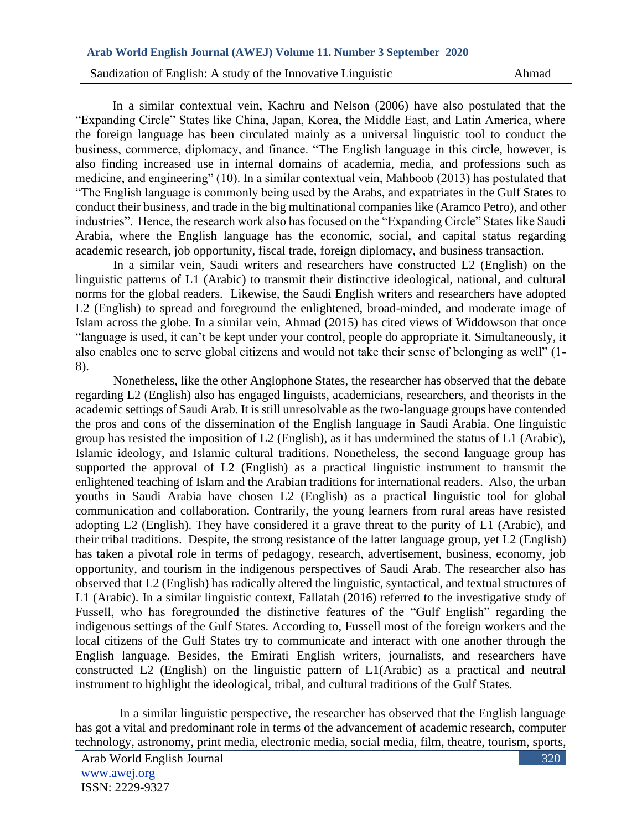In a similar contextual vein, Kachru and Nelson (2006) have also postulated that the "Expanding Circle" States like China, Japan, Korea, the Middle East, and Latin America, where the foreign language has been circulated mainly as a universal linguistic tool to conduct the business, commerce, diplomacy, and finance. "The English language in this circle, however, is also finding increased use in internal domains of academia, media, and professions such as medicine, and engineering" (10). In a similar contextual vein, Mahboob (2013) has postulated that "The English language is commonly being used by the Arabs, and expatriates in the Gulf States to conduct their business, and trade in the big multinational companies like (Aramco Petro), and other industries". Hence, the research work also has focused on the "Expanding Circle" States like Saudi Arabia, where the English language has the economic, social, and capital status regarding academic research, job opportunity, fiscal trade, foreign diplomacy, and business transaction.

In a similar vein, Saudi writers and researchers have constructed L2 (English) on the linguistic patterns of L1 (Arabic) to transmit their distinctive ideological, national, and cultural norms for the global readers. Likewise, the Saudi English writers and researchers have adopted L2 (English) to spread and foreground the enlightened, broad-minded, and moderate image of Islam across the globe. In a similar vein, Ahmad (2015) has cited views of Widdowson that once "language is used, it can't be kept under your control, people do appropriate it. Simultaneously, it also enables one to serve global citizens and would not take their sense of belonging as well" (1- 8).

Nonetheless, like the other Anglophone States, the researcher has observed that the debate regarding L2 (English) also has engaged linguists, academicians, researchers, and theorists in the academic settings of Saudi Arab. It is still unresolvable as the two-language groups have contended the pros and cons of the dissemination of the English language in Saudi Arabia. One linguistic group has resisted the imposition of L2 (English), as it has undermined the status of L1 (Arabic), Islamic ideology, and Islamic cultural traditions. Nonetheless, the second language group has supported the approval of L2 (English) as a practical linguistic instrument to transmit the enlightened teaching of Islam and the Arabian traditions for international readers. Also, the urban youths in Saudi Arabia have chosen L2 (English) as a practical linguistic tool for global communication and collaboration. Contrarily, the young learners from rural areas have resisted adopting L2 (English). They have considered it a grave threat to the purity of L1 (Arabic), and their tribal traditions. Despite, the strong resistance of the latter language group, yet L2 (English) has taken a pivotal role in terms of pedagogy, research, advertisement, business, economy, job opportunity, and tourism in the indigenous perspectives of Saudi Arab. The researcher also has observed that L2 (English) has radically altered the linguistic, syntactical, and textual structures of L1 (Arabic). In a similar linguistic context, Fallatah (2016) referred to the investigative study of Fussell, who has foregrounded the distinctive features of the "Gulf English" regarding the indigenous settings of the Gulf States. According to, Fussell most of the foreign workers and the local citizens of the Gulf States try to communicate and interact with one another through the English language. Besides, the Emirati English writers, journalists, and researchers have constructed L2 (English) on the linguistic pattern of L1(Arabic) as a practical and neutral instrument to highlight the ideological, tribal, and cultural traditions of the Gulf States.

 In a similar linguistic perspective, the researcher has observed that the English language has got a vital and predominant role in terms of the advancement of academic research, computer technology, astronomy, print media, electronic media, social media, film, theatre, tourism, sports,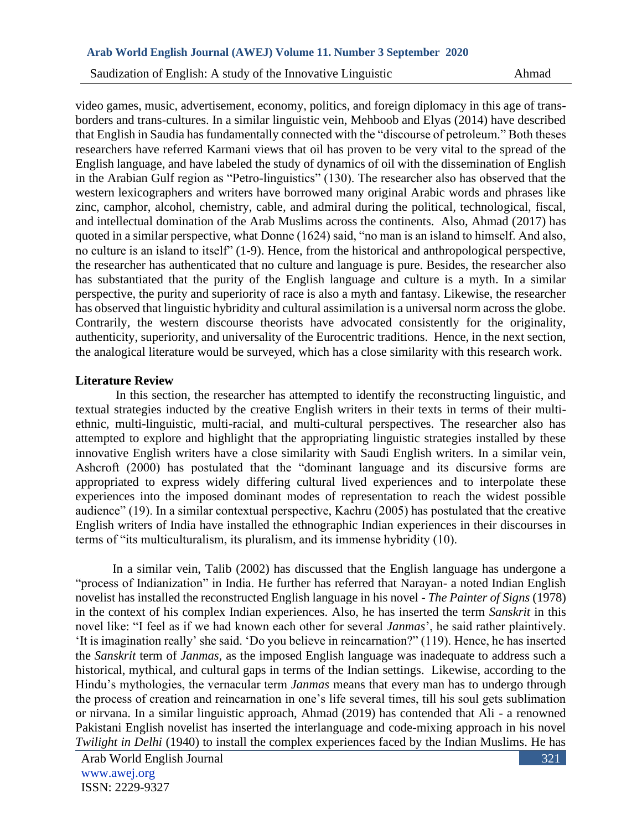video games, music, advertisement, economy, politics, and foreign diplomacy in this age of transborders and trans-cultures. In a similar linguistic vein, Mehboob and Elyas (2014) have described that English in Saudia has fundamentally connected with the "discourse of petroleum." Both theses researchers have referred Karmani views that oil has proven to be very vital to the spread of the English language, and have labeled the study of dynamics of oil with the dissemination of English in the Arabian Gulf region as "Petro-linguistics" (130). The researcher also has observed that the western lexicographers and writers have borrowed many original Arabic words and phrases like zinc, camphor, alcohol, chemistry, cable, and admiral during the political, technological, fiscal, and intellectual domination of the Arab Muslims across the continents. Also, Ahmad (2017) has quoted in a similar perspective, what Donne (1624) said, "no man is an island to himself. And also, no culture is an island to itself" (1-9). Hence, from the historical and anthropological perspective, the researcher has authenticated that no culture and language is pure. Besides, the researcher also has substantiated that the purity of the English language and culture is a myth. In a similar perspective, the purity and superiority of race is also a myth and fantasy. Likewise, the researcher has observed that linguistic hybridity and cultural assimilation is a universal norm across the globe. Contrarily, the western discourse theorists have advocated consistently for the originality, authenticity, superiority, and universality of the Eurocentric traditions. Hence, in the next section, the analogical literature would be surveyed, which has a close similarity with this research work.

#### **Literature Review**

In this section, the researcher has attempted to identify the reconstructing linguistic, and textual strategies inducted by the creative English writers in their texts in terms of their multiethnic, multi-linguistic, multi-racial, and multi-cultural perspectives. The researcher also has attempted to explore and highlight that the appropriating linguistic strategies installed by these innovative English writers have a close similarity with Saudi English writers. In a similar vein, Ashcroft (2000) has postulated that the "dominant language and its discursive forms are appropriated to express widely differing cultural lived experiences and to interpolate these experiences into the imposed dominant modes of representation to reach the widest possible audience" (19). In a similar contextual perspective, Kachru (2005) has postulated that the creative English writers of India have installed the ethnographic Indian experiences in their discourses in terms of "its multiculturalism, its pluralism, and its immense hybridity (10).

In a similar vein, Talib (2002) has discussed that the English language has undergone a "process of Indianization" in India. He further has referred that Narayan- a noted Indian English novelist has installed the reconstructed English language in his novel - *The Painter of Signs* (1978) in the context of his complex Indian experiences. Also, he has inserted the term *Sanskrit* in this novel like: "I feel as if we had known each other for several *Janmas*', he said rather plaintively. 'It is imagination really' she said. 'Do you believe in reincarnation?" (119). Hence, he has inserted the *Sanskrit* term of *Janmas,* as the imposed English language was inadequate to address such a historical, mythical, and cultural gaps in terms of the Indian settings. Likewise, according to the Hindu's mythologies, the vernacular term *Janmas* means that every man has to undergo through the process of creation and reincarnation in one's life several times, till his soul gets sublimation or nirvana. In a similar linguistic approach, Ahmad (2019) has contended that Ali - a renowned Pakistani English novelist has inserted the interlanguage and code-mixing approach in his novel *Twilight in Delhi* (1940) to install the complex experiences faced by the Indian Muslims. He has

321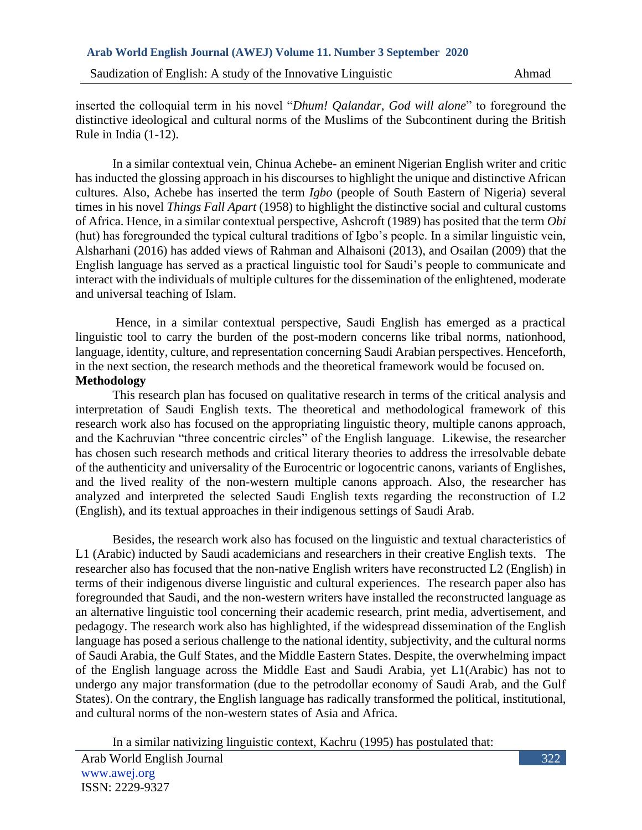inserted the colloquial term in his novel "*Dhum! Qalandar, God will alone*" to foreground the distinctive ideological and cultural norms of the Muslims of the Subcontinent during the British Rule in India (1-12).

In a similar contextual vein, Chinua Achebe- an eminent Nigerian English writer and critic has inducted the glossing approach in his discourses to highlight the unique and distinctive African cultures. Also, Achebe has inserted the term *Igbo* (people of South Eastern of Nigeria) several times in his novel *Things Fall Apart* (1958) to highlight the distinctive social and cultural customs of Africa. Hence, in a similar contextual perspective, Ashcroft (1989) has posited that the term *Obi* (hut) has foregrounded the typical cultural traditions of Igbo's people. In a similar linguistic vein, Alsharhani (2016) has added views of Rahman and Alhaisoni (2013), and Osailan (2009) that the English language has served as a practical linguistic tool for Saudi's people to communicate and interact with the individuals of multiple cultures for the dissemination of the enlightened, moderate and universal teaching of Islam.

Hence, in a similar contextual perspective, Saudi English has emerged as a practical linguistic tool to carry the burden of the post-modern concerns like tribal norms, nationhood, language, identity, culture, and representation concerning Saudi Arabian perspectives. Henceforth, in the next section, the research methods and the theoretical framework would be focused on. **Methodology**

This research plan has focused on qualitative research in terms of the critical analysis and interpretation of Saudi English texts. The theoretical and methodological framework of this research work also has focused on the appropriating linguistic theory, multiple canons approach, and the Kachruvian "three concentric circles" of the English language. Likewise, the researcher has chosen such research methods and critical literary theories to address the irresolvable debate of the authenticity and universality of the Eurocentric or logocentric canons, variants of Englishes, and the lived reality of the non-western multiple canons approach. Also, the researcher has analyzed and interpreted the selected Saudi English texts regarding the reconstruction of L2 (English), and its textual approaches in their indigenous settings of Saudi Arab.

Besides, the research work also has focused on the linguistic and textual characteristics of L1 (Arabic) inducted by Saudi academicians and researchers in their creative English texts. The researcher also has focused that the non-native English writers have reconstructed L2 (English) in terms of their indigenous diverse linguistic and cultural experiences. The research paper also has foregrounded that Saudi, and the non-western writers have installed the reconstructed language as an alternative linguistic tool concerning their academic research, print media, advertisement, and pedagogy. The research work also has highlighted, if the widespread dissemination of the English language has posed a serious challenge to the national identity, subjectivity, and the cultural norms of Saudi Arabia, the Gulf States, and the Middle Eastern States. Despite, the overwhelming impact of the English language across the Middle East and Saudi Arabia, yet L1(Arabic) has not to undergo any major transformation (due to the petrodollar economy of Saudi Arab, and the Gulf States). On the contrary, the English language has radically transformed the political, institutional, and cultural norms of the non-western states of Asia and Africa.

In a similar nativizing linguistic context, Kachru (1995) has postulated that: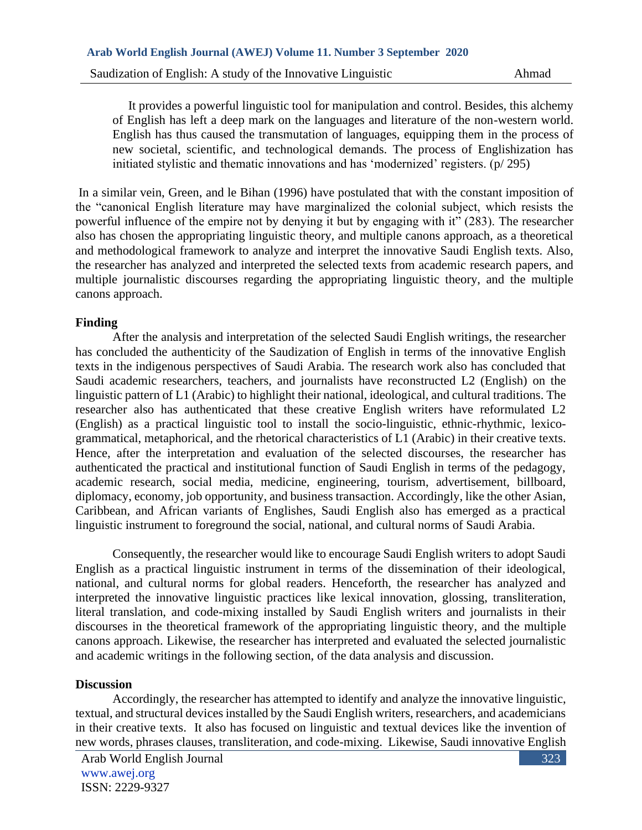It provides a powerful linguistic tool for manipulation and control. Besides, this alchemy of English has left a deep mark on the languages and literature of the non-western world. English has thus caused the transmutation of languages, equipping them in the process of new societal, scientific, and technological demands. The process of Englishization has initiated stylistic and thematic innovations and has 'modernized' registers. (p/ 295)

In a similar vein, Green, and le Bihan (1996) have postulated that with the constant imposition of the "canonical English literature may have marginalized the colonial subject, which resists the powerful influence of the empire not by denying it but by engaging with it" (283). The researcher also has chosen the appropriating linguistic theory, and multiple canons approach, as a theoretical and methodological framework to analyze and interpret the innovative Saudi English texts. Also, the researcher has analyzed and interpreted the selected texts from academic research papers, and multiple journalistic discourses regarding the appropriating linguistic theory, and the multiple canons approach.

## **Finding**

After the analysis and interpretation of the selected Saudi English writings, the researcher has concluded the authenticity of the Saudization of English in terms of the innovative English texts in the indigenous perspectives of Saudi Arabia. The research work also has concluded that Saudi academic researchers, teachers, and journalists have reconstructed L2 (English) on the linguistic pattern of L1 (Arabic) to highlight their national, ideological, and cultural traditions. The researcher also has authenticated that these creative English writers have reformulated L2 (English) as a practical linguistic tool to install the socio-linguistic, ethnic-rhythmic, lexicogrammatical, metaphorical, and the rhetorical characteristics of L1 (Arabic) in their creative texts. Hence, after the interpretation and evaluation of the selected discourses, the researcher has authenticated the practical and institutional function of Saudi English in terms of the pedagogy, academic research, social media, medicine, engineering, tourism, advertisement, billboard, diplomacy, economy, job opportunity, and business transaction. Accordingly, like the other Asian, Caribbean, and African variants of Englishes, Saudi English also has emerged as a practical linguistic instrument to foreground the social, national, and cultural norms of Saudi Arabia.

Consequently, the researcher would like to encourage Saudi English writers to adopt Saudi English as a practical linguistic instrument in terms of the dissemination of their ideological, national, and cultural norms for global readers. Henceforth, the researcher has analyzed and interpreted the innovative linguistic practices like lexical innovation, glossing, transliteration, literal translation, and code-mixing installed by Saudi English writers and journalists in their discourses in the theoretical framework of the appropriating linguistic theory, and the multiple canons approach. Likewise, the researcher has interpreted and evaluated the selected journalistic and academic writings in the following section, of the data analysis and discussion.

#### **Discussion**

Accordingly, the researcher has attempted to identify and analyze the innovative linguistic, textual, and structural devices installed by the Saudi English writers, researchers, and academicians in their creative texts. It also has focused on linguistic and textual devices like the invention of new words, phrases clauses, transliteration, and code-mixing. Likewise, Saudi innovative English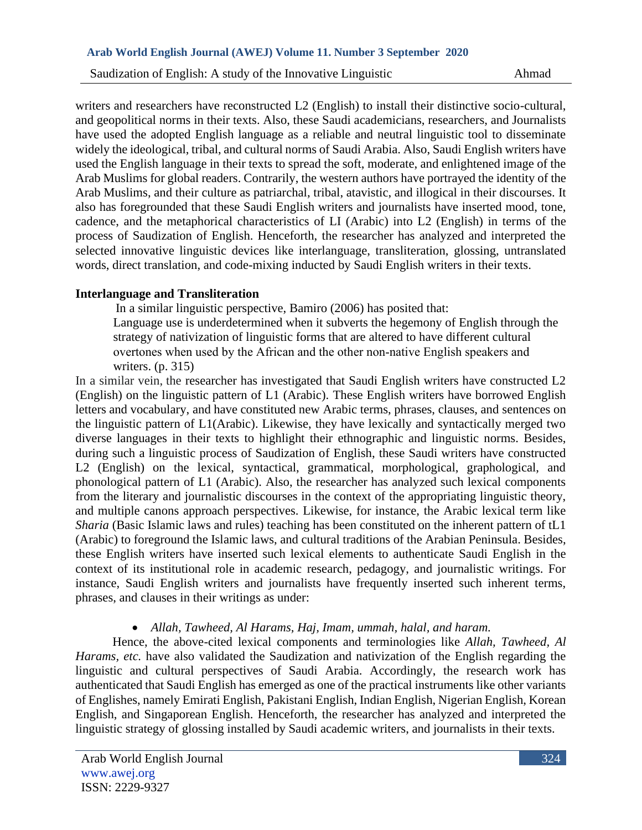writers and researchers have reconstructed L2 (English) to install their distinctive socio-cultural, and geopolitical norms in their texts. Also, these Saudi academicians, researchers, and Journalists have used the adopted English language as a reliable and neutral linguistic tool to disseminate widely the ideological, tribal, and cultural norms of Saudi Arabia. Also, Saudi English writers have used the English language in their texts to spread the soft, moderate, and enlightened image of the Arab Muslims for global readers. Contrarily, the western authors have portrayed the identity of the Arab Muslims, and their culture as patriarchal, tribal, atavistic, and illogical in their discourses. It also has foregrounded that these Saudi English writers and journalists have inserted mood, tone, cadence, and the metaphorical characteristics of LI (Arabic) into L2 (English) in terms of the process of Saudization of English. Henceforth, the researcher has analyzed and interpreted the selected innovative linguistic devices like interlanguage, transliteration, glossing, untranslated words, direct translation, and code-mixing inducted by Saudi English writers in their texts.

## **Interlanguage and Transliteration**

In a similar linguistic perspective, Bamiro (2006) has posited that: Language use is underdetermined when it subverts the hegemony of English through the

strategy of nativization of linguistic forms that are altered to have different cultural overtones when used by the African and the other non‐native English speakers and writers. (p. 315)

In a similar vein, the researcher has investigated that Saudi English writers have constructed L2 (English) on the linguistic pattern of L1 (Arabic). These English writers have borrowed English letters and vocabulary, and have constituted new Arabic terms, phrases, clauses, and sentences on the linguistic pattern of L1(Arabic). Likewise, they have lexically and syntactically merged two diverse languages in their texts to highlight their ethnographic and linguistic norms. Besides, during such a linguistic process of Saudization of English, these Saudi writers have constructed L2 (English) on the lexical, syntactical, grammatical, morphological, graphological, and phonological pattern of L1 (Arabic). Also, the researcher has analyzed such lexical components from the literary and journalistic discourses in the context of the appropriating linguistic theory, and multiple canons approach perspectives. Likewise, for instance, the Arabic lexical term like *Sharia* (Basic Islamic laws and rules) teaching has been constituted on the inherent pattern of tL1 (Arabic) to foreground the Islamic laws, and cultural traditions of the Arabian Peninsula. Besides, these English writers have inserted such lexical elements to authenticate Saudi English in the context of its institutional role in academic research, pedagogy, and journalistic writings. For instance, Saudi English writers and journalists have frequently inserted such inherent terms, phrases, and clauses in their writings as under:

## • *Allah, Tawheed, Al Harams, Haj, Imam, ummah, halal, and haram.*

Hence, the above-cited lexical components and terminologies like *Allah, Tawheed, Al Harams, etc.* have also validated the Saudization and nativization of the English regarding the linguistic and cultural perspectives of Saudi Arabia. Accordingly, the research work has authenticated that Saudi English has emerged as one of the practical instruments like other variants of Englishes, namely Emirati English, Pakistani English, Indian English, Nigerian English, Korean English, and Singaporean English. Henceforth, the researcher has analyzed and interpreted the linguistic strategy of glossing installed by Saudi academic writers, and journalists in their texts.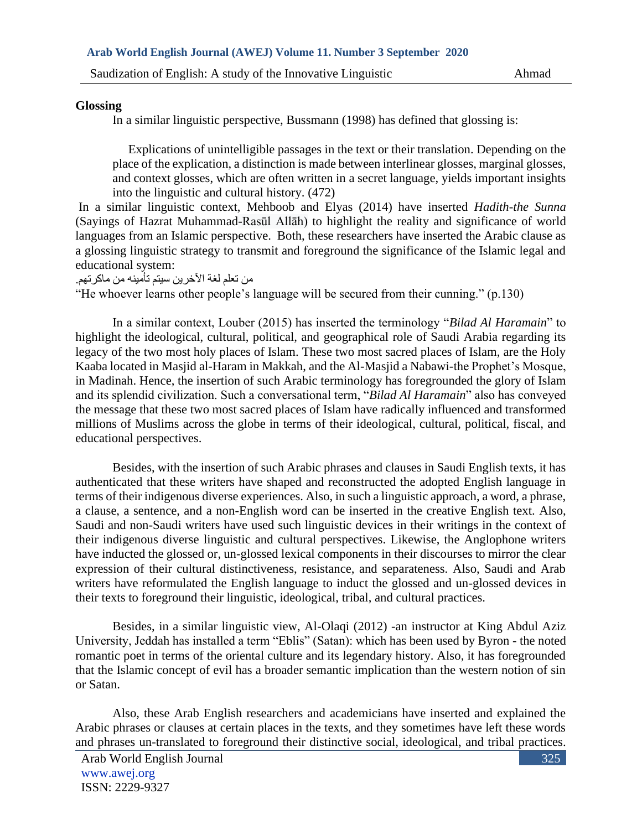### **Glossing**

In a similar linguistic perspective, Bussmann (1998) has defined that glossing is:

 Explications of unintelligible passages in the text or their translation. Depending on the place of the explication, a distinction is made between interlinear glosses, marginal glosses, and context glosses, which are often written in a secret language, yields important insights into the linguistic and cultural history. (472)

In a similar linguistic context, Mehboob and Elyas (2014) have inserted *Hadith*-*the Sunna* (Sayings of Hazrat Muhammad*-*Rasūl Allāh) to highlight the reality and significance of world languages from an Islamic perspective. Both, these researchers have inserted the Arabic clause as a glossing linguistic strategy to transmit and foreground the significance of the Islamic legal and educational system:

من تعلم لغة اآلخرين سيتم تأمينه من ماكرتهم.

"He whoever learns other people's language will be secured from their cunning." (p.130)

In a similar context, Louber (2015) has inserted the terminology "*Bilad Al Haramain*" to highlight the ideological, cultural, political, and geographical role of Saudi Arabia regarding its legacy of the two most holy places of Islam. These two most sacred places of Islam, are the Holy Kaaba located in Masjid al-Haram in Makkah, and the Al-Masjid a Nabawi-the Prophet's Mosque, in Madinah. Hence, the insertion of such Arabic terminology has foregrounded the glory of Islam and its splendid civilization. Such a conversational term, "*Bilad Al Haramain*" also has conveyed the message that these two most sacred places of Islam have radically influenced and transformed millions of Muslims across the globe in terms of their ideological, cultural, political, fiscal, and educational perspectives.

Besides, with the insertion of such Arabic phrases and clauses in Saudi English texts, it has authenticated that these writers have shaped and reconstructed the adopted English language in terms of their indigenous diverse experiences. Also, in such a linguistic approach, a word, a phrase, a clause, a sentence, and a non-English word can be inserted in the creative English text. Also, Saudi and non-Saudi writers have used such linguistic devices in their writings in the context of their indigenous diverse linguistic and cultural perspectives. Likewise, the Anglophone writers have inducted the glossed or, un-glossed lexical components in their discourses to mirror the clear expression of their cultural distinctiveness, resistance, and separateness. Also, Saudi and Arab writers have reformulated the English language to induct the glossed and un-glossed devices in their texts to foreground their linguistic, ideological, tribal, and cultural practices.

Besides, in a similar linguistic view, Al-Olaqi (2012) -an instructor at King Abdul Aziz University, Jeddah has installed a term "Eblis" (Satan): which has been used by Byron - the noted romantic poet in terms of the oriental culture and its legendary history. Also, it has foregrounded that the Islamic concept of evil has a broader semantic implication than the western notion of sin or Satan.

Also, these Arab English researchers and academicians have inserted and explained the Arabic phrases or clauses at certain places in the texts, and they sometimes have left these words and phrases un-translated to foreground their distinctive social, ideological, and tribal practices.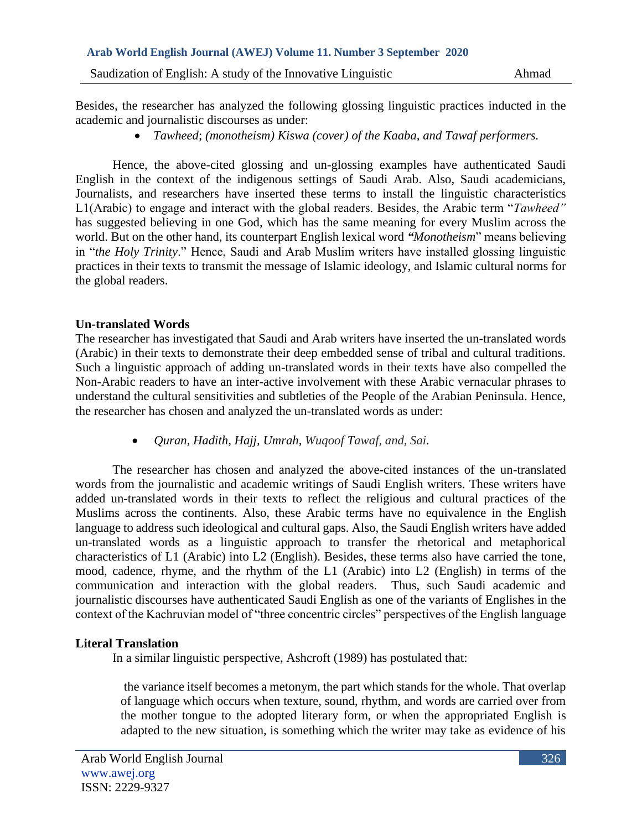Besides, the researcher has analyzed the following glossing linguistic practices inducted in the academic and journalistic discourses as under:

• *Tawheed*; *(monotheism) Kiswa (cover) of the Kaaba, and Tawaf performers.*

Hence, the above-cited glossing and un-glossing examples have authenticated Saudi English in the context of the indigenous settings of Saudi Arab. Also, Saudi academicians, Journalists, and researchers have inserted these terms to install the linguistic characteristics L1(Arabic) to engage and interact with the global readers. Besides, the Arabic term "*Tawheed"* has suggested believing in one God, which has the same meaning for every Muslim across the world. But on the other hand, its counterpart English lexical word *"Monotheism*" means believing in "*the Holy Trinity*." Hence, Saudi and Arab Muslim writers have installed glossing linguistic practices in their texts to transmit the message of Islamic ideology, and Islamic cultural norms for the global readers.

## **Un-translated Words**

The researcher has investigated that Saudi and Arab writers have inserted the un-translated words (Arabic) in their texts to demonstrate their deep embedded sense of tribal and cultural traditions. Such a linguistic approach of adding un-translated words in their texts have also compelled the Non-Arabic readers to have an inter-active involvement with these Arabic vernacular phrases to understand the cultural sensitivities and subtleties of the People of the Arabian Peninsula. Hence, the researcher has chosen and analyzed the un-translated words as under:

• *Quran, Hadith, Hajj, Umrah, Wuqoof Tawaf, and, Sai.*

The researcher has chosen and analyzed the above**-**cited instances of the un-translated words from the journalistic and academic writings of Saudi English writers. These writers have added un-translated words in their texts to reflect the religious and cultural practices of the Muslims across the continents. Also, these Arabic terms have no equivalence in the English language to address such ideological and cultural gaps. Also, the Saudi English writers have added un-translated words as a linguistic approach to transfer the rhetorical and metaphorical characteristics of L1 (Arabic) into L2 (English). Besides, these terms also have carried the tone, mood, cadence, rhyme, and the rhythm of the L1 (Arabic) into L2 (English) in terms of the communication and interaction with the global readers. Thus, such Saudi academic and journalistic discourses have authenticated Saudi English as one of the variants of Englishes in the context of the Kachruvian model of "three concentric circles" perspectives of the English language

# **Literal Translation**

In a similar linguistic perspective, Ashcroft (1989) has postulated that:

the variance itself becomes a metonym, the part which stands for the whole. That overlap of language which occurs when texture, sound, rhythm, and words are carried over from the mother tongue to the adopted literary form, or when the appropriated English is adapted to the new situation, is something which the writer may take as evidence of his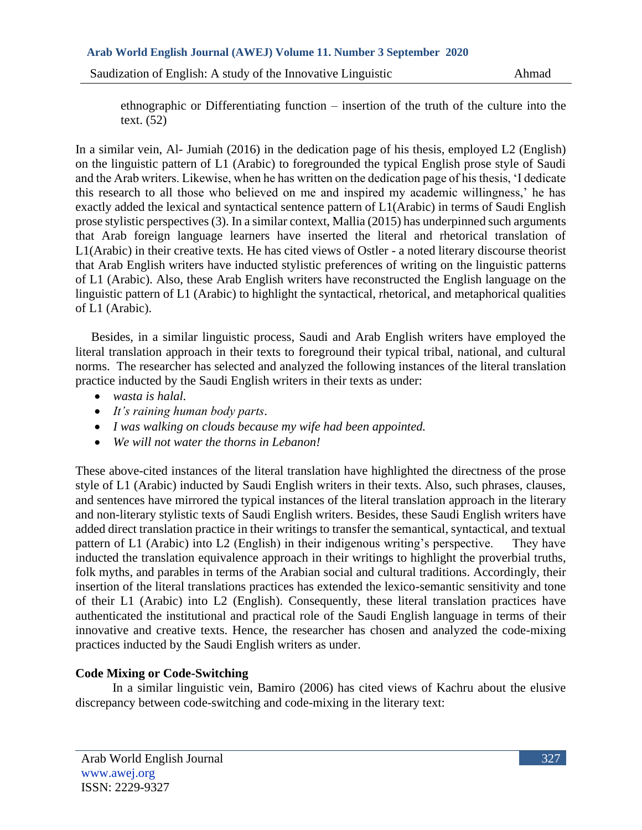### **Arab World English Journal (AWEJ) Volume 11. Number 3 September 2020**

Saudization of English: A study of the Innovative Linguistic Ahmad

ethnographic or Differentiating function – insertion of the truth of the culture into the text. (52)

In a similar vein, Al- Jumiah (2016) in the dedication page of his thesis, employed L2 (English) on the linguistic pattern of L1 (Arabic) to foregrounded the typical English prose style of Saudi and the Arab writers. Likewise, when he has written on the dedication page of his thesis, 'I dedicate this research to all those who believed on me and inspired my academic willingness,' he has exactly added the lexical and syntactical sentence pattern of L1(Arabic) in terms of Saudi English prose stylistic perspectives (3). In a similar context, Mallia (2015) has underpinned such arguments that Arab foreign language learners have inserted the literal and rhetorical translation of L1(Arabic) in their creative texts. He has cited views of Ostler - a noted literary discourse theorist that Arab English writers have inducted stylistic preferences of writing on the linguistic patterns of L1 (Arabic). Also, these Arab English writers have reconstructed the English language on the linguistic pattern of L1 (Arabic) to highlight the syntactical, rhetorical, and metaphorical qualities of L1 (Arabic).

 Besides, in a similar linguistic process, Saudi and Arab English writers have employed the literal translation approach in their texts to foreground their typical tribal, national, and cultural norms. The researcher has selected and analyzed the following instances of the literal translation practice inducted by the Saudi English writers in their texts as under:

- *wasta is halal.*
- *It's raining human body parts*.
- *I was walking on clouds because my wife had been appointed.*
- *We will not water the thorns in Lebanon!*

These above-cited instances of the literal translation have highlighted the directness of the prose style of L1 (Arabic) inducted by Saudi English writers in their texts. Also, such phrases, clauses, and sentences have mirrored the typical instances of the literal translation approach in the literary and non-literary stylistic texts of Saudi English writers. Besides, these Saudi English writers have added direct translation practice in their writings to transfer the semantical, syntactical, and textual pattern of L1 (Arabic) into L2 (English) in their indigenous writing's perspective. They have inducted the translation equivalence approach in their writings to highlight the proverbial truths, folk myths, and parables in terms of the Arabian social and cultural traditions. Accordingly, their insertion of the literal translations practices has extended the lexico-semantic sensitivity and tone of their L1 (Arabic) into L2 (English). Consequently, these literal translation practices have authenticated the institutional and practical role of the Saudi English language in terms of their innovative and creative texts. Hence, the researcher has chosen and analyzed the code-mixing practices inducted by the Saudi English writers as under.

# **Code Mixing or Code-Switching**

In a similar linguistic vein, Bamiro (2006) has cited views of Kachru about the elusive discrepancy between code-switching and code-mixing in the literary text: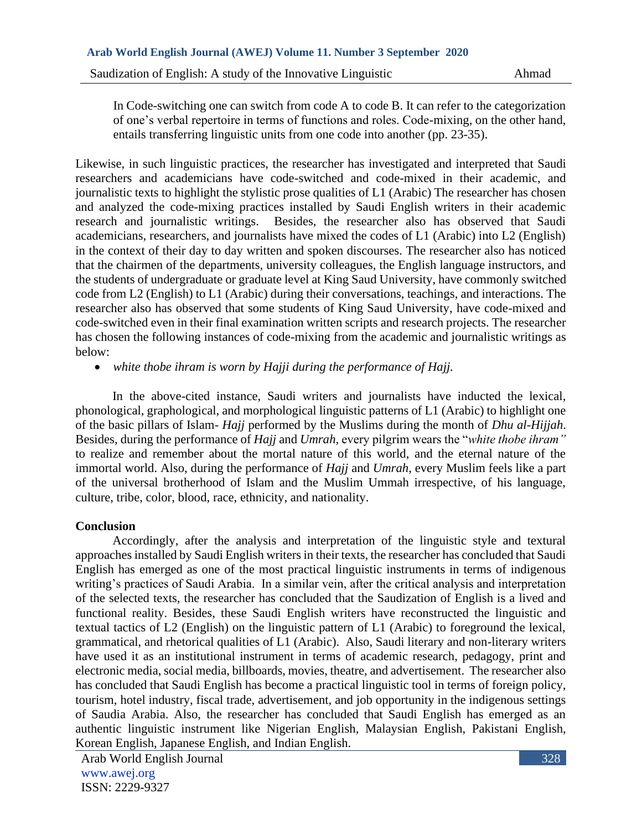In Code-switching one can switch from code A to code B. It can refer to the categorization of one's verbal repertoire in terms of functions and roles. Code-mixing, on the other hand, entails transferring linguistic units from one code into another (pp. 23-35).

Likewise, in such linguistic practices, the researcher has investigated and interpreted that Saudi researchers and academicians have code-switched and code-mixed in their academic, and journalistic texts to highlight the stylistic prose qualities of L1 (Arabic) The researcher has chosen and analyzed the code-mixing practices installed by Saudi English writers in their academic research and journalistic writings. Besides, the researcher also has observed that Saudi academicians, researchers, and journalists have mixed the codes of L1 (Arabic) into L2 (English) in the context of their day to day written and spoken discourses. The researcher also has noticed that the chairmen of the departments, university colleagues, the English language instructors, and the students of undergraduate or graduate level at King Saud University, have commonly switched code from L2 (English) to L1 (Arabic) during their conversations, teachings, and interactions. The researcher also has observed that some students of King Saud University, have code-mixed and code-switched even in their final examination written scripts and research projects. The researcher has chosen the following instances of code-mixing from the academic and journalistic writings as below:

• *white thobe ihram is worn by Hajji during the performance of Hajj.* 

In the above-cited instance, Saudi writers and journalists have inducted the lexical, phonological, graphological, and morphological linguistic patterns of L1 (Arabic) to highlight one of the basic pillars of Islam- *Hajj* performed by the Muslims during the month of *Dhu al-Hijjah*. Besides, during the performance of *Hajj* and *Umrah,* every pilgrim wears the "*white thobe ihram"*  to realize and remember about the mortal nature of this world, and the eternal nature of the immortal world. Also, during the performance of *Hajj* and *Umrah*, every Muslim feels like a part of the universal brotherhood of Islam and the Muslim Ummah irrespective, of his language, culture, tribe, color, blood, race, ethnicity, and nationality.

## **Conclusion**

Accordingly, after the analysis and interpretation of the linguistic style and textural approaches installed by Saudi English writers in their texts, the researcher has concluded that Saudi English has emerged as one of the most practical linguistic instruments in terms of indigenous writing's practices of Saudi Arabia. In a similar vein, after the critical analysis and interpretation of the selected texts, the researcher has concluded that the Saudization of English is a lived and functional reality. Besides, these Saudi English writers have reconstructed the linguistic and textual tactics of L2 (English) on the linguistic pattern of L1 (Arabic) to foreground the lexical, grammatical, and rhetorical qualities of L1 (Arabic). Also, Saudi literary and non-literary writers have used it as an institutional instrument in terms of academic research, pedagogy, print and electronic media, social media, billboards, movies, theatre, and advertisement. The researcher also has concluded that Saudi English has become a practical linguistic tool in terms of foreign policy, tourism, hotel industry, fiscal trade, advertisement, and job opportunity in the indigenous settings of Saudia Arabia. Also, the researcher has concluded that Saudi English has emerged as an authentic linguistic instrument like Nigerian English, Malaysian English, Pakistani English, Korean English, Japanese English, and Indian English.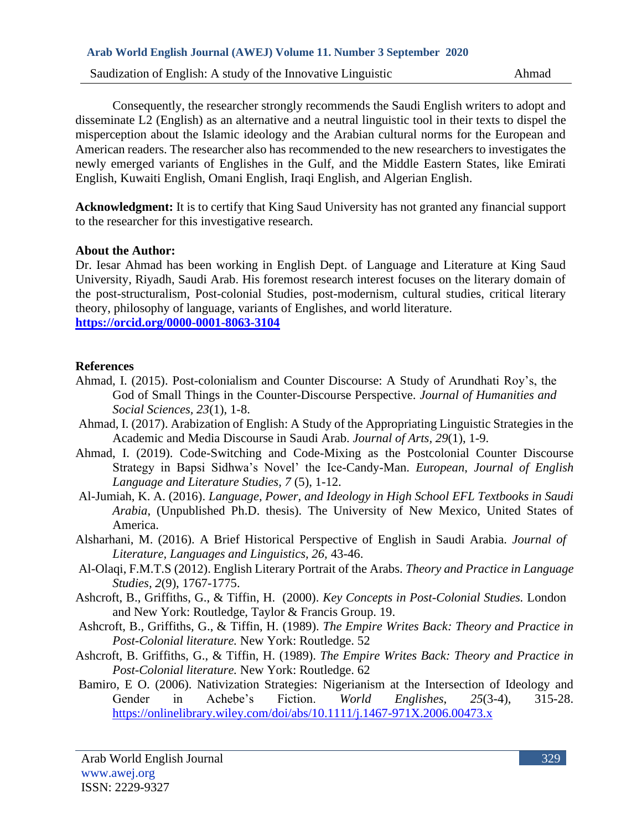Consequently, the researcher strongly recommends the Saudi English writers to adopt and disseminate L2 (English) as an alternative and a neutral linguistic tool in their texts to dispel the misperception about the Islamic ideology and the Arabian cultural norms for the European and American readers. The researcher also has recommended to the new researchers to investigates the newly emerged variants of Englishes in the Gulf, and the Middle Eastern States, like Emirati English, Kuwaiti English, Omani English, Iraqi English, and Algerian English.

**Acknowledgment:** It is to certify that King Saud University has not granted any financial support to the researcher for this investigative research.

## **About the Author:**

Dr. Iesar Ahmad has been working in English Dept. of Language and Literature at King Saud University, Riyadh, Saudi Arab. His foremost research interest focuses on the literary domain of the post-structuralism, Post-colonial Studies, post-modernism, cultural studies, critical literary theory, philosophy of language, variants of Englishes, and world literature. **<https://orcid.org/0000-0001-8063-3104>**

## **References**

- Ahmad, I. (2015). Post-colonialism and Counter Discourse: A Study of Arundhati Roy's, the God of Small Things in the Counter-Discourse Perspective. *Journal of Humanities and Social Sciences, 23*(1), 1-8.
- Ahmad, I. (2017). Arabization of English: A Study of the Appropriating Linguistic Strategies in the Academic and Media Discourse in Saudi Arab. *Journal of Arts, 29*(1), 1-9.
- Ahmad, I. (2019). Code-Switching and Code-Mixing as the Postcolonial Counter Discourse Strategy in Bapsi Sidhwa's Novel' the Ice-Candy-Man. *Eu*r*opean*, *Journal of English Language and Literature Studies, 7* (5), 1-12.
- Al-Jumiah, K. A. (2016). *Language, Power, and Ideology in High School EFL Textbooks in Saudi Arabia*, (Unpublished Ph.D. thesis). The University of New Mexico, United States of America.
- Alsharhani, M. (2016). A Brief Historical Perspective of English in Saudi Arabia*. Journal of Literature, Languages and Linguistics, 26,* 43-46.
- Al-Olaqi, F.M.T.S (2012). English Literary Portrait of the Arabs. *Theory and Practice in Language Studies, 2*(9), 1767-1775.
- Ashcroft, B., Griffiths, G., & Tiffin, H. (2000). *Key Concepts in Post-Colonial Studies.* London and New York: Routledge, Taylor & Francis Group. 19.
- Ashcroft, B., Griffiths, G., & Tiffin, H. (1989). *The Empire Writes Back: Theory and Practice in Post-Colonial literature.* New York: Routledge. 52
- Ashcroft, B. Griffiths, G., & Tiffin, H. (1989). *The Empire Writes Back: Theory and Practice in Post-Colonial literature.* New York: Routledge. 62
- Bamiro, E O. (2006). Nativization Strategies: Nigerianism at the Intersection of Ideology and<br>Gender in Achebe's Fiction. World Englishes. 25(3-4). 315-28. Gender in Achebe's Fiction. *World Englishes*, *25*(3-4), 315-28. <https://onlinelibrary.wiley.com/doi/abs/10.1111/j.1467-971X.2006.00473.x>